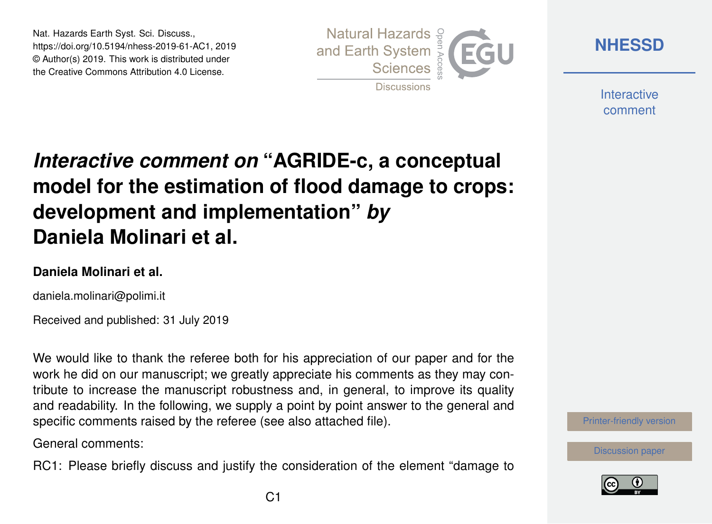Nat. Hazards Earth Syst. Sci. Discuss., https://doi.org/10.5194/nhess-2019-61-AC1, 2019 © Author(s) 2019. This work is distributed under the Creative Commons Attribution 4.0 License.



**[NHESSD](https://www.nat-hazards-earth-syst-sci-discuss.net/)**

**Interactive** comment

# *Interactive comment on* **"AGRIDE-c, a conceptual model for the estimation of flood damage to crops: development and implementation"** *by* **Daniela Molinari et al.**

#### **Daniela Molinari et al.**

daniela.molinari@polimi.it

Received and published: 31 July 2019

We would like to thank the referee both for his appreciation of our paper and for the work he did on our manuscript; we greatly appreciate his comments as they may contribute to increase the manuscript robustness and, in general, to improve its quality and readability. In the following, we supply a point by point answer to the general and specific comments raised by the referee (see also attached file).

General comments:

RC1: Please briefly discuss and justify the consideration of the element "damage to



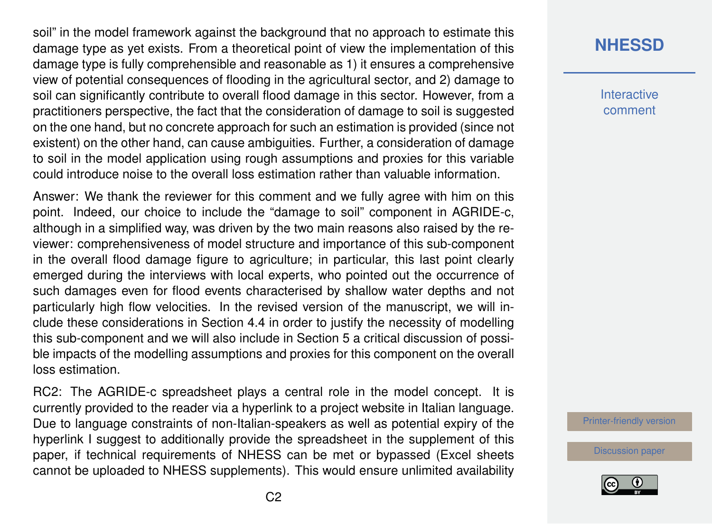soil" in the model framework against the background that no approach to estimate this damage type as yet exists. From a theoretical point of view the implementation of this damage type is fully comprehensible and reasonable as 1) it ensures a comprehensive view of potential consequences of flooding in the agricultural sector, and 2) damage to soil can significantly contribute to overall flood damage in this sector. However, from a practitioners perspective, the fact that the consideration of damage to soil is suggested on the one hand, but no concrete approach for such an estimation is provided (since not existent) on the other hand, can cause ambiguities. Further, a consideration of damage to soil in the model application using rough assumptions and proxies for this variable could introduce noise to the overall loss estimation rather than valuable information.

Answer: We thank the reviewer for this comment and we fully agree with him on this point. Indeed, our choice to include the "damage to soil" component in AGRIDE-c, although in a simplified way, was driven by the two main reasons also raised by the reviewer: comprehensiveness of model structure and importance of this sub-component in the overall flood damage figure to agriculture; in particular, this last point clearly emerged during the interviews with local experts, who pointed out the occurrence of such damages even for flood events characterised by shallow water depths and not particularly high flow velocities. In the revised version of the manuscript, we will include these considerations in Section 4.4 in order to justify the necessity of modelling this sub-component and we will also include in Section 5 a critical discussion of possible impacts of the modelling assumptions and proxies for this component on the overall loss estimation.

RC2: The AGRIDE-c spreadsheet plays a central role in the model concept. It is currently provided to the reader via a hyperlink to a project website in Italian language. Due to language constraints of non-Italian-speakers as well as potential expiry of the hyperlink I suggest to additionally provide the spreadsheet in the supplement of this paper, if technical requirements of NHESS can be met or bypassed (Excel sheets cannot be uploaded to NHESS supplements). This would ensure unlimited availability

## **[NHESSD](https://www.nat-hazards-earth-syst-sci-discuss.net/)**

**Interactive** comment

[Printer-friendly version](https://www.nat-hazards-earth-syst-sci-discuss.net/nhess-2019-61/nhess-2019-61-AC1-print.pdf)

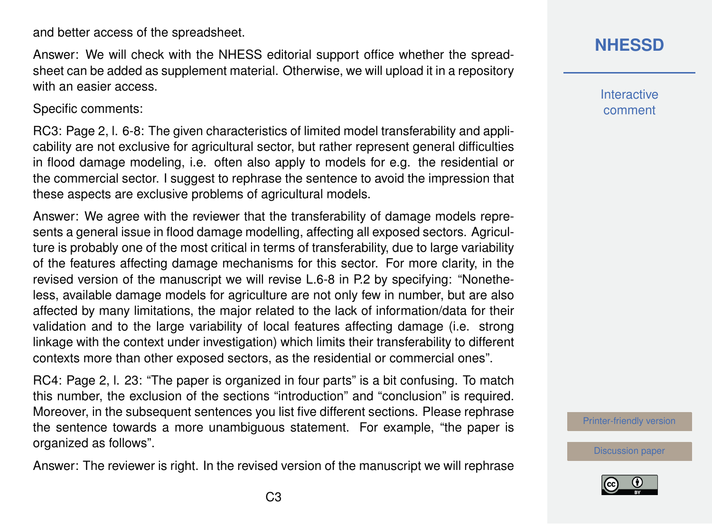C3

and better access of the spreadsheet.

Answer: We will check with the NHESS editorial support office whether the spreadsheet can be added as supplement material. Otherwise, we will upload it in a repository with an easier access.

Specific comments:

RC3: Page 2, l. 6-8: The given characteristics of limited model transferability and applicability are not exclusive for agricultural sector, but rather represent general difficulties in flood damage modeling, i.e. often also apply to models for e.g. the residential or the commercial sector. I suggest to rephrase the sentence to avoid the impression that these aspects are exclusive problems of agricultural models.

Answer: We agree with the reviewer that the transferability of damage models represents a general issue in flood damage modelling, affecting all exposed sectors. Agriculture is probably one of the most critical in terms of transferability, due to large variability of the features affecting damage mechanisms for this sector. For more clarity, in the revised version of the manuscript we will revise L.6-8 in P.2 by specifying: "Nonetheless, available damage models for agriculture are not only few in number, but are also affected by many limitations, the major related to the lack of information/data for their validation and to the large variability of local features affecting damage (i.e. strong linkage with the context under investigation) which limits their transferability to different contexts more than other exposed sectors, as the residential or commercial ones".

RC4: Page 2, l. 23: "The paper is organized in four parts" is a bit confusing. To match this number, the exclusion of the sections "introduction" and "conclusion" is required. Moreover, in the subsequent sentences you list five different sections. Please rephrase the sentence towards a more unambiguous statement. For example, "the paper is organized as follows".

Answer: The reviewer is right. In the revised version of the manuscript we will rephrase

#### **[NHESSD](https://www.nat-hazards-earth-syst-sci-discuss.net/)**

**Interactive** comment

[Printer-friendly version](https://www.nat-hazards-earth-syst-sci-discuss.net/nhess-2019-61/nhess-2019-61-AC1-print.pdf)

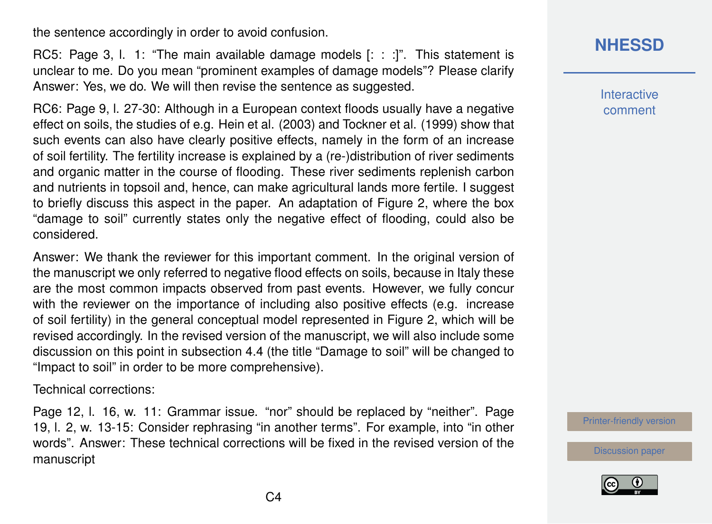the sentence accordingly in order to avoid confusion.

RC5: Page 3, l. 1: "The main available damage models [: : :]". This statement is unclear to me. Do you mean "prominent examples of damage models"? Please clarify Answer: Yes, we do. We will then revise the sentence as suggested.

RC6: Page 9, l. 27-30: Although in a European context floods usually have a negative effect on soils, the studies of e.g. Hein et al. (2003) and Tockner et al. (1999) show that such events can also have clearly positive effects, namely in the form of an increase of soil fertility. The fertility increase is explained by a (re-)distribution of river sediments and organic matter in the course of flooding. These river sediments replenish carbon and nutrients in topsoil and, hence, can make agricultural lands more fertile. I suggest to briefly discuss this aspect in the paper. An adaptation of Figure 2, where the box "damage to soil" currently states only the negative effect of flooding, could also be considered.

Answer: We thank the reviewer for this important comment. In the original version of the manuscript we only referred to negative flood effects on soils, because in Italy these are the most common impacts observed from past events. However, we fully concur with the reviewer on the importance of including also positive effects (e.g. increase of soil fertility) in the general conceptual model represented in Figure 2, which will be revised accordingly. In the revised version of the manuscript, we will also include some discussion on this point in subsection 4.4 (the title "Damage to soil" will be changed to "Impact to soil" in order to be more comprehensive).

Technical corrections:

Page 12, l. 16, w. 11: Grammar issue. "nor" should be replaced by "neither". Page 19, l. 2, w. 13-15: Consider rephrasing "in another terms". For example, into "in other words". Answer: These technical corrections will be fixed in the revised version of the manuscript

### **[NHESSD](https://www.nat-hazards-earth-syst-sci-discuss.net/)**

**Interactive** comment

[Printer-friendly version](https://www.nat-hazards-earth-syst-sci-discuss.net/nhess-2019-61/nhess-2019-61-AC1-print.pdf)